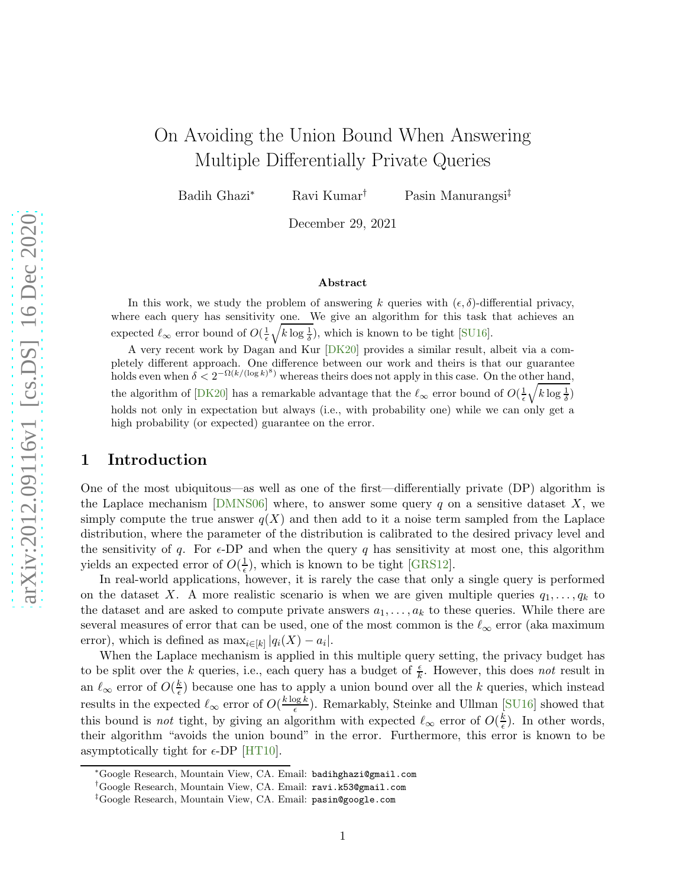# On Avoiding the Union Bound When Answering Multiple Differentially Private Queries

Badih Ghazi<sup>∗</sup> Ravi Kumar† Pasin Manurangsi‡

December 29, 2021

#### Abstract

In this work, we study the problem of answering k queries with  $(\epsilon, \delta)$ -differential privacy, where each query has sensitivity one. We give an algorithm for this task that achieves an expected  $\ell_{\infty}$  error bound of  $O(\frac{1}{\epsilon}\sqrt{k \log \frac{1}{\delta}})$ , which is known to be tight [\[SU16\]](#page-11-0).

A very recent work by Dagan and Kur [\[DK20\]](#page-10-0) provides a similar result, albeit via a completely different approach. One difference between our work and theirs is that our guarantee holds even when  $\delta < 2^{-\Omega(k/(\log k)^8)}$  whereas theirs does not apply in this case. On the other hand, the algorithm of [\[DK20\]](#page-10-0) has a remarkable advantage that the  $\ell_{\infty}$  error bound of  $O(\frac{1}{\epsilon}\sqrt{k \log \frac{1}{\delta}})$ holds not only in expectation but always (i.e., with probability one) while we can only get a high probability (or expected) guarantee on the error.

## 1 Introduction

One of the most ubiquitous—as well as one of the first—differentially private (DP) algorithm is the Laplace mechanism [\[DMNS06\]](#page-11-1) where, to answer some query q on a sensitive dataset X, we simply compute the true answer  $q(X)$  and then add to it a noise term sampled from the Laplace distribution, where the parameter of the distribution is calibrated to the desired privacy level and the sensitivity of q. For  $\epsilon$ -DP and when the query q has sensitivity at most one, this algorithm yields an expected error of  $O(\frac{1}{\epsilon})$  $\frac{1}{\epsilon}$ ), which is known to be tight [\[GRS12\]](#page-11-2).

In real-world applications, however, it is rarely the case that only a single query is performed on the dataset X. A more realistic scenario is when we are given multiple queries  $q_1, \ldots, q_k$  to the dataset and are asked to compute private answers  $a_1, \ldots, a_k$  to these queries. While there are several measures of error that can be used, one of the most common is the  $\ell_{\infty}$  error (aka maximum error), which is defined as  $\max_{i \in [k]} |q_i(X) - a_i|$ .

When the Laplace mechanism is applied in this multiple query setting, the privacy budget has to be split over the k queries, i.e., each query has a budget of  $\frac{\epsilon}{k}$ . However, this does not result in an  $\ell_{\infty}$  error of  $O(\frac{k}{\epsilon})$  $\frac{k}{\epsilon}$ ) because one has to apply a union bound over all the k queries, which instead results in the expected  $\ell_{\infty}$  error of  $O(\frac{k \log k}{\epsilon})$  $\frac{\log k}{\epsilon}$ ). Remarkably, Steinke and Ullman [\[SU16\]](#page-11-0) showed that this bound is *not* tight, by giving an algorithm with expected  $\ell_{\infty}$  error of  $O(\frac{k}{\epsilon})$  $\frac{k}{\epsilon}$ ). In other words, their algorithm "avoids the union bound" in the error. Furthermore, this error is known to be asymptotically tight for  $\epsilon$ -DP [\[HT10\]](#page-11-3).

<sup>∗</sup>Google Research, Mountain View, CA. Email: badihghazi@gmail.com

<sup>†</sup>Google Research, Mountain View, CA. Email: ravi.k53@gmail.com

<sup>‡</sup>Google Research, Mountain View, CA. Email: pasin@google.com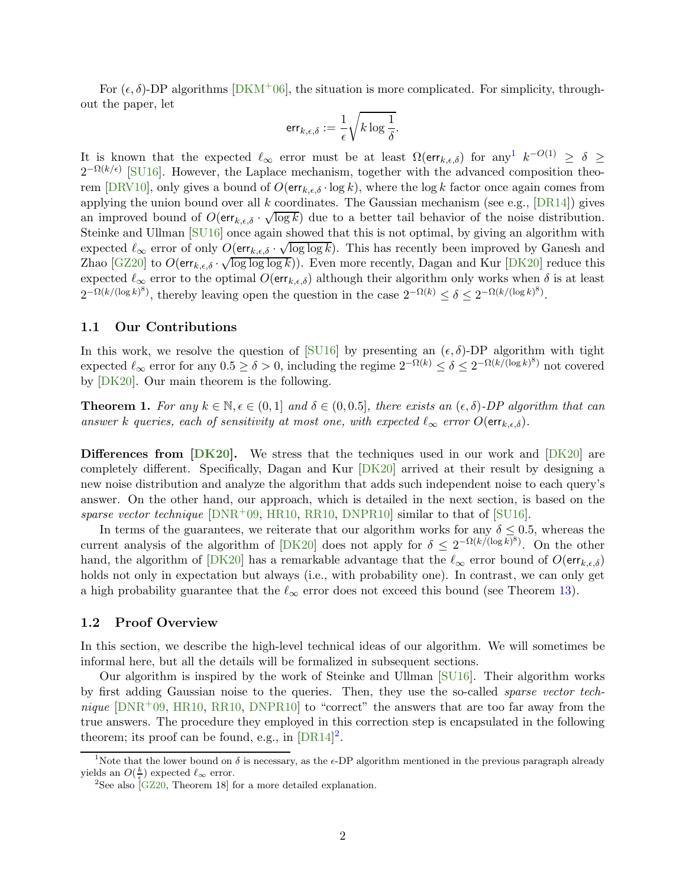For  $(\epsilon, \delta)$ -DP algorithms [\[DKM](#page-11-4)+06], the situation is more complicated. For simplicity, throughout the paper, let

$$
\textsf{err}_{k,\epsilon,\delta}:=\frac{1}{\epsilon}\sqrt{k\log\frac{1}{\delta}}.
$$

It is known that the expected  $\ell_{\infty}$  error must be at least  $\Omega(\text{err}_{k,\epsilon,\delta})$  for any<sup>[1](#page-1-0)</sup>  $k^{-O(1)} \geq \delta \geq$  $2^{-\Omega(k/\epsilon)}$  [\[SU16\]](#page-11-0). However, the Laplace mechanism, together with the advanced composition theo-rem [\[DRV10\]](#page-11-5), only gives a bound of  $O(\text{err}_{k,\epsilon,\delta} \cdot \log k)$ , where the log k factor once again comes from applying the union bound over all k coordinates. The Gaussian mechanism (see e.g.,  $[DR14]$ ) gives an improved bound of  $O(\text{err}_{k,\epsilon,\delta} \cdot \sqrt{\log k})$  due to a better tail behavior of the noise distribution. Steinke and Ullman [\[SU16\]](#page-11-0) once again showed that this is not optimal, by giving an algorithm with expected  $\ell_{\infty}$  error of only  $O(\text{err}_{k,\epsilon,\delta} \cdot \sqrt{\log \log k})$ . This has recently been improved by Ganesh and Zhao [\[GZ20\]](#page-11-7) to  $O(\text{err}_{k,\epsilon,\delta} \cdot \sqrt{\log \log \log k})$ ). Even more recently, Dagan and Kur [\[DK20\]](#page-10-0) reduce this expected  $\ell_{\infty}$  error to the optimal  $O(\text{err}_{k,\epsilon,\delta})$  although their algorithm only works when  $\delta$  is at least  $2^{-\Omega(k/(\log k)^8)}$ , thereby leaving open the question in the case  $2^{-\Omega(k)} \le \delta \le 2^{-\Omega(k/(\log k)^8)}$ .

#### 1.1 Our Contributions

In this work, we resolve the question of [\[SU16\]](#page-11-0) by presenting an  $(\epsilon, \delta)$ -DP algorithm with tight expected  $\ell_{\infty}$  error for any  $0.5 \ge \delta > 0$ , including the regime  $2^{-\Omega(k)} \le \delta \le 2^{-\Omega(k/(\log k)^8)}$  not covered by [\[DK20\]](#page-10-0). Our main theorem is the following.

<span id="page-1-2"></span>**Theorem 1.** For any  $k \in \mathbb{N}, \epsilon \in (0, 1]$  and  $\delta \in (0, 0.5]$ , there exists an  $(\epsilon, \delta)$ -DP algorithm that can answer k queries, each of sensitivity at most one, with expected  $\ell_{\infty}$  error  $O(\text{err}_{k,\epsilon,\delta})$ .

**Differences from [\[DK20\]](#page-10-0).** We stress that the techniques used in our work and [DK20] are completely different. Specifically, Dagan and Kur [\[DK20\]](#page-10-0) arrived at their result by designing a new noise distribution and analyze the algorithm that adds such independent noise to each query's answer. On the other hand, our approach, which is detailed in the next section, is based on the sparse vector technique  $[DNR^+09, HR10, RR10, DNPR10]$  $[DNR^+09, HR10, RR10, DNPR10]$  $[DNR^+09, HR10, RR10, DNPR10]$  $[DNR^+09, HR10, RR10, DNPR10]$  $[DNR^+09, HR10, RR10, DNPR10]$  $[DNR^+09, HR10, RR10, DNPR10]$  $[DNR^+09, HR10, RR10, DNPR10]$  similar to that of  $[SU16]$ .

In terms of the guarantees, we reiterate that our algorithm works for any  $\delta \leq 0.5$ , whereas the current analysis of the algorithm of [\[DK20\]](#page-10-0) does not apply for  $\delta \leq 2^{-\Omega(k/(\log k)^8)}$ . On the other hand, the algorithm of [\[DK20\]](#page-10-0) has a remarkable advantage that the  $\ell_{\infty}$  error bound of  $O(\text{err}_{k,\epsilon,\delta})$ holds not only in expectation but always (i.e., with probability one). In contrast, we can only get a high probability guarantee that the  $\ell_{\infty}$  error does not exceed this bound (see Theorem [13\)](#page-9-0).

#### 1.2 Proof Overview

In this section, we describe the high-level technical ideas of our algorithm. We will sometimes be informal here, but all the details will be formalized in subsequent sections.

Our algorithm is inspired by the work of Steinke and Ullman [\[SU16\]](#page-11-0). Their algorithm works by first adding Gaussian noise to the queries. Then, they use the so-called sparse vector technique  $[DNR^+09, HR10, RR10, DNPR10]$  $[DNR^+09, HR10, RR10, DNPR10]$  $[DNR^+09, HR10, RR10, DNPR10]$  $[DNR^+09, HR10, RR10, DNPR10]$  $[DNR^+09, HR10, RR10, DNPR10]$  $[DNR^+09, HR10, RR10, DNPR10]$  $[DNR^+09, HR10, RR10, DNPR10]$  to "correct" the answers that are too far away from the true answers. The procedure they employed in this correction step is encapsulated in the following theorem; its proof can be found, e.g., in  $[DR14]^2$  $[DR14]^2$ .

<sup>&</sup>lt;sup>1</sup>Note that the lower bound on  $\delta$  is necessary, as the  $\epsilon$ -DP algorithm mentioned in the previous paragraph already yields an  $O(\frac{k}{\epsilon})$  expected  $\ell_{\infty}$  error.

<span id="page-1-1"></span><span id="page-1-0"></span><sup>&</sup>lt;sup>2</sup>See also  $\overline{GZ20}$ , Theorem 18 for a more detailed explanation.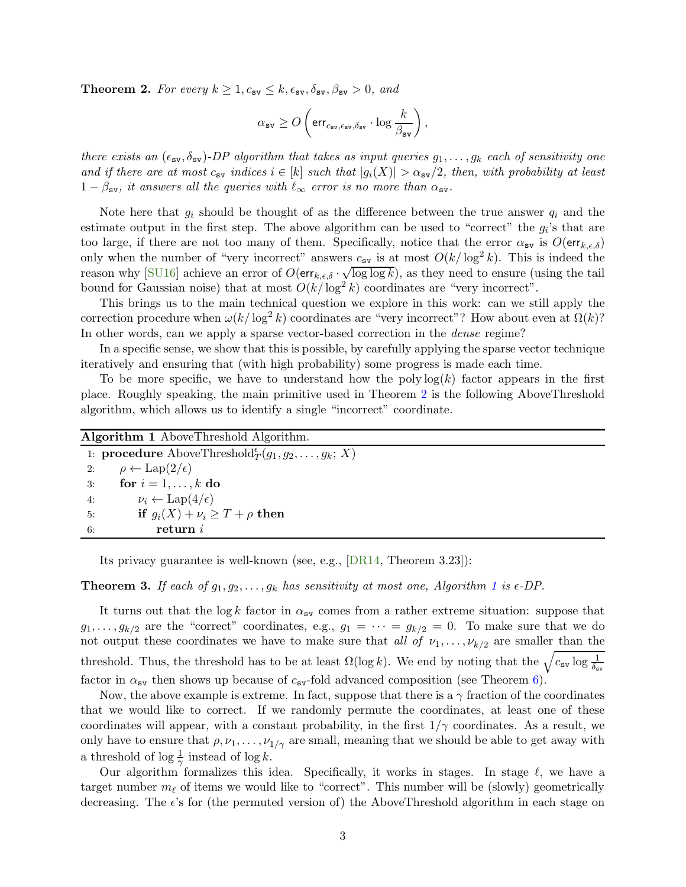<span id="page-2-0"></span>**Theorem 2.** For every  $k \geq 1, c_{\text{sv}} \leq k, \epsilon_{\text{sv}}, \delta_{\text{sv}}, \beta_{\text{sv}} > 0$ , and

$$
\alpha_{\text{sv}} \geq O\left(\text{err}_{c_{\text{sv}}, \epsilon_{\text{sv}}, \delta_{\text{sv}}} \cdot \log \frac{k}{\beta_{\text{sv}}}\right),\,
$$

there exists an  $(\epsilon_{sv}, \delta_{sv})$ -DP algorithm that takes as input queries  $g_1, \ldots, g_k$  each of sensitivity one and if there are at most  $c_{\text{sv}}$  indices  $i \in [k]$  such that  $|g_i(X)| > \alpha_{\text{sv}}/2$ , then, with probability at least  $1 - \beta_{\rm sv}$ , it answers all the queries with  $\ell_{\infty}$  error is no more than  $\alpha_{\rm sv}$ .

Note here that  $g_i$  should be thought of as the difference between the true answer  $q_i$  and the estimate output in the first step. The above algorithm can be used to "correct" the  $g_i$ 's that are too large, if there are not too many of them. Specifically, notice that the error  $\alpha_{\text{sv}}$  is  $O(\text{err}_{k,\epsilon,\delta})$ only when the number of "very incorrect" answers  $c_{sv}$  is at most  $O(k/\log^2 k)$ . This is indeed the reason why [\[SU16\]](#page-11-0) achieve an error of  $O(\text{err}_{k,\epsilon,\delta} \cdot \sqrt{\log \log k})$ , as they need to ensure (using the tail bound for Gaussian noise) that at most  $O(k/\log^2 k)$  coordinates are "very incorrect".

This brings us to the main technical question we explore in this work: can we still apply the correction procedure when  $\omega(k/\log^2 k)$  coordinates are "very incorrect"? How about even at  $\Omega(k)$ ? In other words, can we apply a sparse vector-based correction in the dense regime?

In a specific sense, we show that this is possible, by carefully applying the sparse vector technique iteratively and ensuring that (with high probability) some progress is made each time.

To be more specific, we have to understand how the poly  $log(k)$  factor appears in the first place. Roughly speaking, the main primitive used in Theorem [2](#page-2-0) is the following AboveThreshold algorithm, which allows us to identify a single "incorrect" coordinate.

<span id="page-2-1"></span>

| Algorithm 1 AboveThreshold Algorithm. |                                                                            |  |
|---------------------------------------|----------------------------------------------------------------------------|--|
|                                       | 1: <b>procedure</b> AboveThreshold $^{\epsilon}(q_1, q_2, \ldots, q_k; X)$ |  |
| 2:                                    | $\rho \leftarrow \text{Lap}(2/\epsilon)$                                   |  |
| 3:                                    | for $i = 1, \ldots, k$ do                                                  |  |
| 4:                                    | $\nu_i \leftarrow \text{Lap}(4/\epsilon)$                                  |  |
| 5:                                    | if $g_i(X) + \nu_i \geq T + \rho$ then                                     |  |
| 6:                                    | return i                                                                   |  |

Its privacy guarantee is well-known (see, e.g., [\[DR14,](#page-11-6) Theorem 3.23]):

<span id="page-2-2"></span>**Theorem 3.** If each of  $g_1, g_2, \ldots, g_k$  $g_1, g_2, \ldots, g_k$  $g_1, g_2, \ldots, g_k$  has sensitivity at most one, Algorithm 1 is  $\epsilon$ -DP.

It turns out that the log k factor in  $\alpha_{sv}$  comes from a rather extreme situation: suppose that  $g_1, \ldots, g_{k/2}$  are the "correct" coordinates, e.g.,  $g_1 = \cdots = g_{k/2} = 0$ . To make sure that we do not output these coordinates we have to make sure that all of  $\nu_1, \ldots, \nu_{k/2}$  are smaller than the threshold. Thus, the threshold has to be at least  $\Omega(\log k)$ . We end by noting that the  $\sqrt{c_{sv} \log \frac{1}{\delta_{sv}}}$ factor in  $\alpha_{\text{sv}}$  then shows up because of  $c_{\text{sv}}$ -fold advanced composition (see Theorem [6\)](#page-3-0).

Now, the above example is extreme. In fact, suppose that there is a  $\gamma$  fraction of the coordinates that we would like to correct. If we randomly permute the coordinates, at least one of these coordinates will appear, with a constant probability, in the first  $1/\gamma$  coordinates. As a result, we only have to ensure that  $\rho, \nu_1, \ldots, \nu_{1/\gamma}$  are small, meaning that we should be able to get away with a threshold of  $\log \frac{1}{\gamma}$  instead of  $\log k$ .

Our algorithm formalizes this idea. Specifically, it works in stages. In stage  $\ell$ , we have a target number  $m_{\ell}$  of items we would like to "correct". This number will be (slowly) geometrically decreasing. The e's for (the permuted version of) the AboveThreshold algorithm in each stage on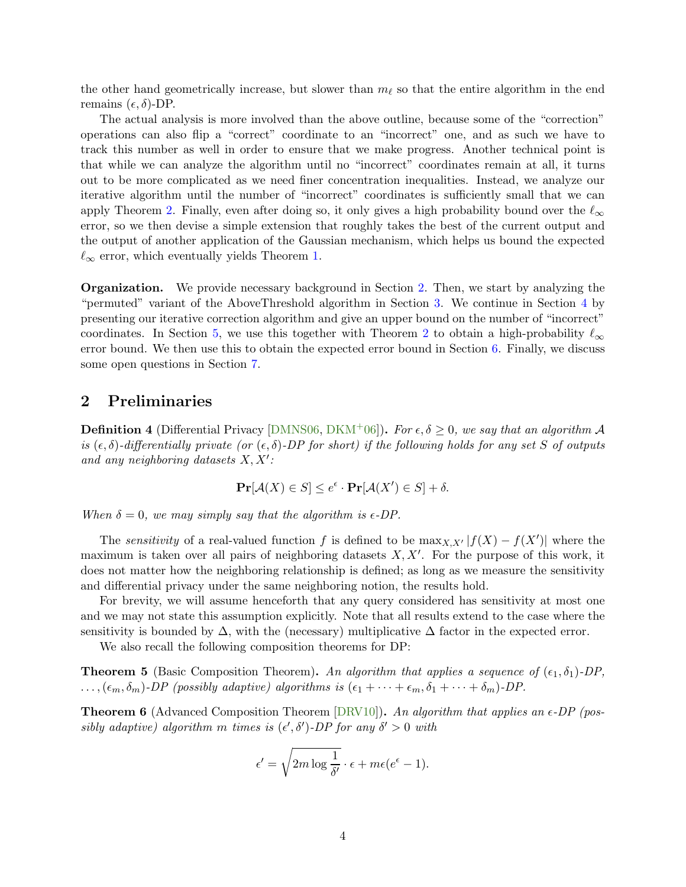the other hand geometrically increase, but slower than  $m_{\ell}$  so that the entire algorithm in the end remains  $(\epsilon, \delta)$ -DP.

The actual analysis is more involved than the above outline, because some of the "correction" operations can also flip a "correct" coordinate to an "incorrect" one, and as such we have to track this number as well in order to ensure that we make progress. Another technical point is that while we can analyze the algorithm until no "incorrect" coordinates remain at all, it turns out to be more complicated as we need finer concentration inequalities. Instead, we analyze our iterative algorithm until the number of "incorrect" coordinates is sufficiently small that we can apply Theorem [2.](#page-2-0) Finally, even after doing so, it only gives a high probability bound over the  $\ell_{\infty}$ error, so we then devise a simple extension that roughly takes the best of the current output and the output of another application of the Gaussian mechanism, which helps us bound the expected  $\ell_{\infty}$  error, which eventually yields Theorem [1.](#page-1-2)

Organization. We provide necessary background in Section [2.](#page-3-1) Then, we start by analyzing the "permuted" variant of the AboveThreshold algorithm in Section [3.](#page-4-0) We continue in Section [4](#page-5-0) by presenting our iterative correction algorithm and give an upper bound on the number of "incorrect" coordinates. In Section [5,](#page-9-1) we use this together with Theorem [2](#page-2-0) to obtain a high-probability  $\ell_{\infty}$ error bound. We then use this to obtain the expected error bound in Section [6.](#page-9-2) Finally, we discuss some open questions in Section [7.](#page-10-1)

### <span id="page-3-1"></span>2 Preliminaries

**Definition 4** (Differential Privacy [\[DMNS06,](#page-11-1) [DKM](#page-11-4)<sup>+</sup>06]). For  $\epsilon, \delta \ge 0$ , we say that an algorithm A is  $(\epsilon, \delta)$ -differentially private (or  $(\epsilon, \delta)$ -DP for short) if the following holds for any set S of outputs and any neighboring datasets  $X, X'$ :

$$
\mathbf{Pr}[\mathcal{A}(X) \in S] \le e^{\epsilon} \cdot \mathbf{Pr}[\mathcal{A}(X') \in S] + \delta.
$$

When  $\delta = 0$ , we may simply say that the algorithm is  $\epsilon$ -DP.

The *sensitivity* of a real-valued function f is defined to be  $\max_{X,X'} |f(X) - f(X')|$  where the maximum is taken over all pairs of neighboring datasets  $X, X'$ . For the purpose of this work, it does not matter how the neighboring relationship is defined; as long as we measure the sensitivity and differential privacy under the same neighboring notion, the results hold.

For brevity, we will assume henceforth that any query considered has sensitivity at most one and we may not state this assumption explicitly. Note that all results extend to the case where the sensitivity is bounded by  $\Delta$ , with the (necessary) multiplicative  $\Delta$  factor in the expected error.

We also recall the following composition theorems for DP:

<span id="page-3-2"></span>**Theorem 5** (Basic Composition Theorem). An algorithm that applies a sequence of  $(\epsilon_1, \delta_1)$ -DP,  $\ldots, (\epsilon_m, \delta_m)$ -DP (possibly adaptive) algorithms is  $(\epsilon_1 + \cdots + \epsilon_m, \delta_1 + \cdots + \delta_m)$ -DP.

<span id="page-3-0"></span>**Theorem 6** (Advanced Composition Theorem [\[DRV10\]](#page-11-5)). An algorithm that applies an  $\epsilon$ -DP (possibly adaptive) algorithm m times is  $(\epsilon', \delta')$ -DP for any  $\delta' > 0$  with

$$
\epsilon' = \sqrt{2m \log \frac{1}{\delta'}} \cdot \epsilon + m\epsilon(e^{\epsilon} - 1).
$$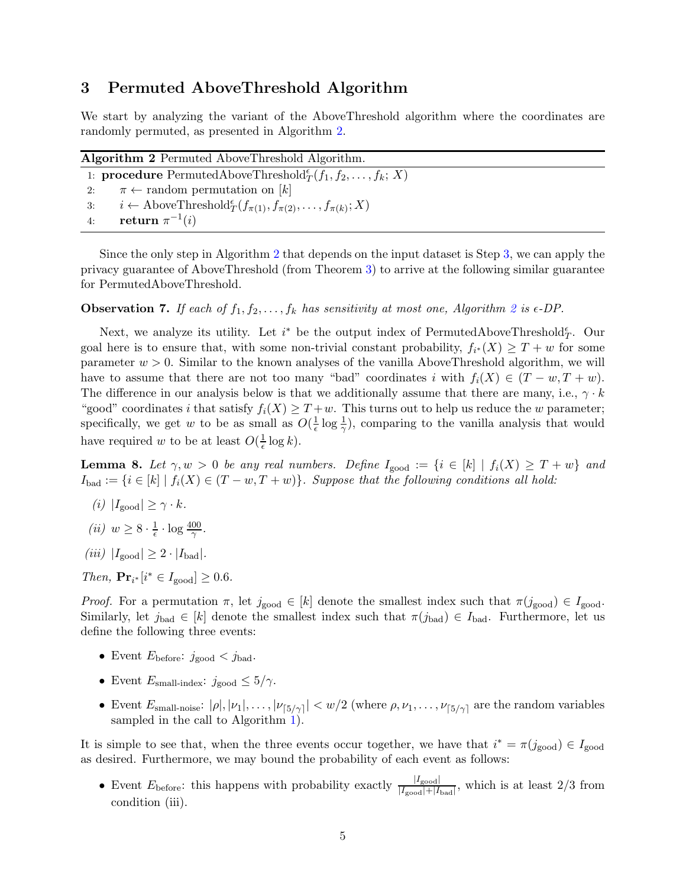## <span id="page-4-0"></span>3 Permuted AboveThreshold Algorithm

<span id="page-4-1"></span>We start by analyzing the variant of the AboveThreshold algorithm where the coordinates are randomly permuted, as presented in Algorithm [2.](#page-4-1)

| <b>Algorithm 2</b> Permuted AboveThreshold Algorithm.                    |                                                                                                    |  |
|--------------------------------------------------------------------------|----------------------------------------------------------------------------------------------------|--|
| 1: <b>procedure</b> PermutedAboveThreshold $f(T_1, f_2, \ldots, f_k; X)$ |                                                                                                    |  |
| 2:                                                                       | $\pi \leftarrow$ random permutation on [k]                                                         |  |
| 3:                                                                       | $i \leftarrow \text{AboveThreshold}^{\epsilon}_{T}(f_{\pi(1)}, f_{\pi(2)}, \ldots, f_{\pi(k)}; X)$ |  |
| 4:                                                                       | return $\pi^{-1}(i)$                                                                               |  |

Since the only step in Algorithm [2](#page-4-1) that depends on the input dataset is Step [3,](#page-4-0) we can apply the privacy guarantee of AboveThreshold (from Theorem [3\)](#page-2-2) to arrive at the following similar guarantee for PermutedAboveThreshold.

<span id="page-4-2"></span>**Observation 7.** If each of  $f_1, f_2, \ldots, f_k$  $f_1, f_2, \ldots, f_k$  $f_1, f_2, \ldots, f_k$  has sensitivity at most one, Algorithm 2 is  $\epsilon$ -DP.

Next, we analyze its utility. Let  $i^*$  be the output index of PermutedAboveThreshold $_f^e$ . Our goal here is to ensure that, with some non-trivial constant probability,  $f_{i^*}(X) \geq T + w$  for some parameter  $w > 0$ . Similar to the known analyses of the vanilla AboveThreshold algorithm, we will have to assume that there are not too many "bad" coordinates i with  $f_i(X) \in (T - w, T + w)$ . The difference in our analysis below is that we additionally assume that there are many, i.e.,  $\gamma \cdot k$ "good" coordinates i that satisfy  $f_i(X) \geq T + w$ . This turns out to help us reduce the w parameter; specifically, we get w to be as small as  $O(\frac{1}{\epsilon})$  $\frac{1}{\epsilon} \log \frac{1}{\gamma}$ , comparing to the vanilla analysis that would have required w to be at least  $O(\frac{1}{\epsilon})$  $\frac{1}{\epsilon} \log k$ .

<span id="page-4-3"></span>**Lemma 8.** Let  $\gamma, w > 0$  be any real numbers. Define  $I_{\text{good}} := \{i \in [k] \mid f_i(X) \geq T + w\}$  and  $I_{bad} := \{i \in [k] \mid f_i(X) \in (T - w, T + w)\}.$  Suppose that the following conditions all hold:

- (i)  $|I_{\text{good}}| \geq \gamma \cdot k$ .
- (*ii*)  $w \geq 8 \cdot \frac{1}{\epsilon}$  $rac{1}{\epsilon} \cdot \log \frac{400}{\gamma}$ .
- (iii)  $|I_{\text{good}}| \geq 2 \cdot |I_{\text{bad}}|$ .

*Then*,  $\mathbf{Pr}_{i^*}[i^* \in I_{\text{good}}] \geq 0.6$ .

Proof. For a permutation  $\pi$ , let  $j_{\text{good}} \in [k]$  denote the smallest index such that  $\pi(j_{\text{good}}) \in I_{\text{good}}$ . Similarly, let  $j_{bad} \in [k]$  denote the smallest index such that  $\pi(j_{bad}) \in I_{bad}$ . Furthermore, let us define the following three events:

- Event  $E_{before}: j_{good} < j_{bad}.$
- Event  $E_{\text{small-index}}$ :  $j_{\text{good}} \leq 5/\gamma$ .
- Event  $E_{\text{small-noise}}: |\rho|, |\nu_1|, \ldots, |\nu_{\lceil 5/\gamma \rceil}| < w/2$  (where  $\rho, \nu_1, \ldots, \nu_{\lceil 5/\gamma \rceil}$  are the random variables sampled in the call to Algorithm [1\)](#page-2-1).

It is simple to see that, when the three events occur together, we have that  $i^* = \pi(j_{\text{good}}) \in I_{\text{good}}$ as desired. Furthermore, we may bound the probability of each event as follows:

• Event  $E_{\text{before}}$ : this happens with probability exactly  $\frac{|I_{\text{good}}|}{|I_{\text{good}}|+|I_{\text{bad}}|}$ , which is at least 2/3 from condition (iii).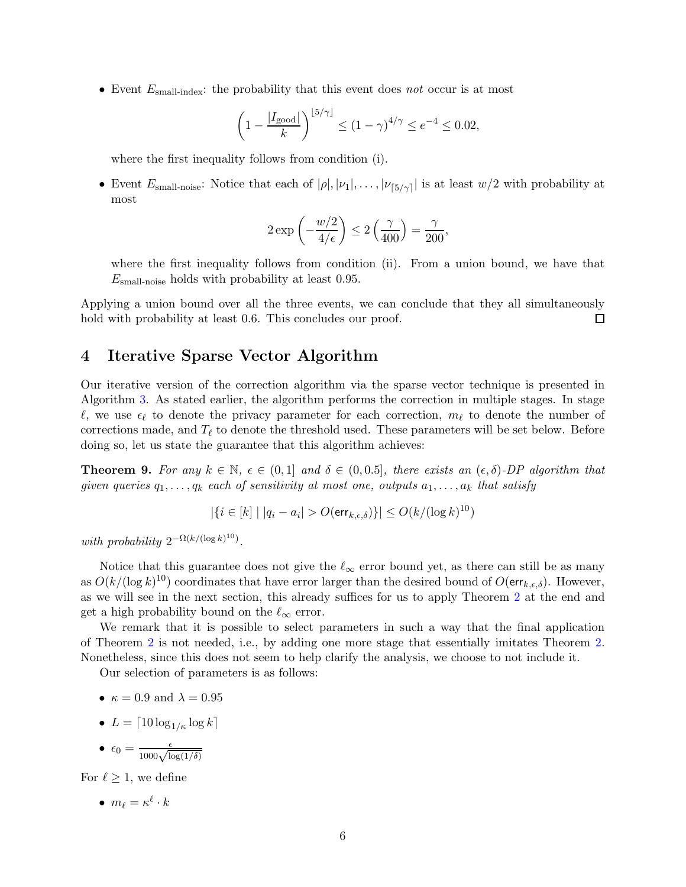• Event  $E_{\text{small-index}}$ : the probability that this event does not occur is at most

$$
\left(1 - \frac{|I_{\text{good}}|}{k}\right)^{\lfloor 5/\gamma \rfloor} \le (1 - \gamma)^{4/\gamma} \le e^{-4} \le 0.02,
$$

where the first inequality follows from condition (i).

• Event  $E_{\text{small-noise}}$ : Notice that each of  $|\rho|, |\nu_1|, \ldots, |\nu_{5/\gamma}|$  is at least  $w/2$  with probability at most

$$
2\exp\left(-\frac{w/2}{4/\epsilon}\right) \le 2\left(\frac{\gamma}{400}\right) = \frac{\gamma}{200},
$$

where the first inequality follows from condition (ii). From a union bound, we have that  $E_{\text{small-noise}}$  holds with probability at least 0.95.

Applying a union bound over all the three events, we can conclude that they all simultaneously hold with probability at least 0.6. This concludes our proof. □

## <span id="page-5-0"></span>4 Iterative Sparse Vector Algorithm

Our iterative version of the correction algorithm via the sparse vector technique is presented in Algorithm [3.](#page-6-0) As stated earlier, the algorithm performs the correction in multiple stages. In stage  $\ell$ , we use  $\epsilon_{\ell}$  to denote the privacy parameter for each correction,  $m_{\ell}$  to denote the number of corrections made, and  $T_{\ell}$  to denote the threshold used. These parameters will be set below. Before doing so, let us state the guarantee that this algorithm achieves:

<span id="page-5-1"></span>**Theorem 9.** For any  $k \in \mathbb{N}$ ,  $\epsilon \in (0,1]$  and  $\delta \in (0,0.5]$ , there exists an  $(\epsilon, \delta)$ -DP algorithm that given queries  $q_1, \ldots, q_k$  each of sensitivity at most one, outputs  $a_1, \ldots, a_k$  that satisfy

$$
|\{i \in [k] \mid |q_i - a_i| > O(\text{err}_{k,\epsilon,\delta})\}| \le O(k/(\log k)^{10})
$$

with probability  $2^{-\Omega(k/(\log k)^{10})}$ .

Notice that this guarantee does not give the  $\ell_{\infty}$  error bound yet, as there can still be as many as  $O(k/(\log k)^{10})$  coordinates that have error larger than the desired bound of  $O(\text{err}_{k,\epsilon,\delta})$ . However, as we will see in the next section, this already suffices for us to apply Theorem [2](#page-2-0) at the end and get a high probability bound on the  $\ell_{\infty}$  error.

We remark that it is possible to select parameters in such a way that the final application of Theorem [2](#page-2-0) is not needed, i.e., by adding one more stage that essentially imitates Theorem [2.](#page-2-0) Nonetheless, since this does not seem to help clarify the analysis, we choose to not include it.

Our selection of parameters is as follows:

- $\kappa = 0.9$  and  $\lambda = 0.95$
- $L = \lceil 10 \log_{1/\kappa} \log k \rceil$
- $\epsilon_0 = \frac{\epsilon}{1000\sqrt{\log(1/\delta)}}$

For  $\ell > 1$ , we define

•  $m_{\ell} = \kappa^{\ell} \cdot k$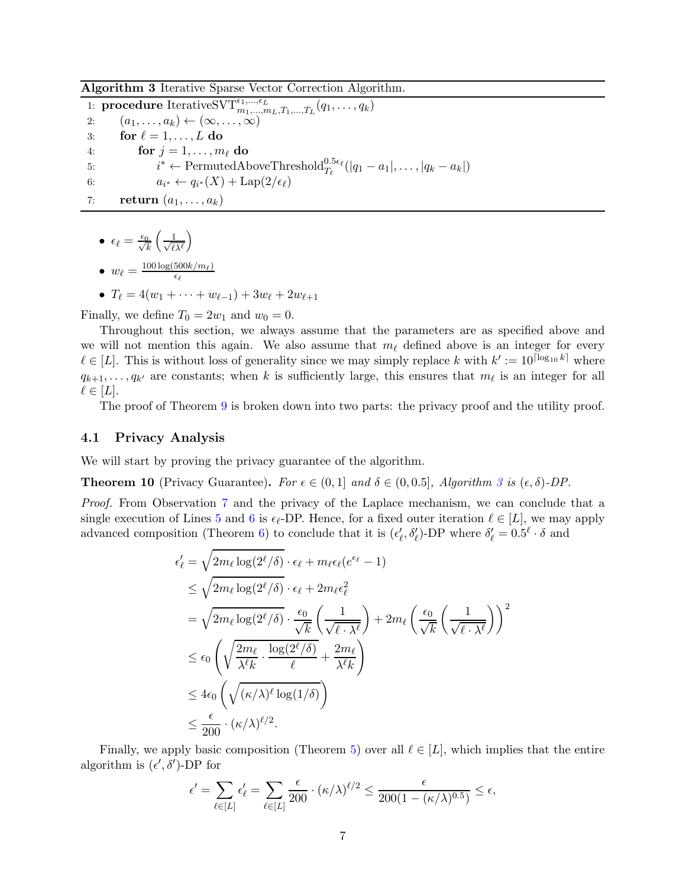<span id="page-6-0"></span>Algorithm 3 Iterative Sparse Vector Correction Algorithm.

1: **procedure** Iterative  $\text{SVT}_{m_1, ..., m_L, T_1, ..., T_L}^{ \epsilon_1, ..., \epsilon_L} (q_1, ..., q_k)$ 2:  $(a_1, \ldots, a_k) \leftarrow (\infty, \ldots, \infty)$ 3: for  $\ell = 1, \ldots, L$  do 4: for  $j = 1, \ldots, m_\ell$  do 5:  $i$ \* ← PermutedAboveThreshold $T_{\ell}^{0.5\epsilon_{\ell}}(|q_1 - a_1|, \ldots, |q_k - a_k|)$ 6:  $a_{i^*} \leftarrow q_{i^*}(X) + \text{Lap}(2/\epsilon_{\ell})$ 7: return  $(a_1, \ldots, a_k)$ 

 $\bullet\ \epsilon_\ell=\frac{\epsilon_0}{\sqrt{k}}$  $\left(\frac{1}{\sqrt{2}}\right)$  $\ell$ λ $^{\ell}$  $\setminus$ 

• 
$$
w_{\ell} = \frac{100 \log(500 k/m_{\ell})}{\epsilon_{\ell}}
$$

• 
$$
T_{\ell} = 4(w_1 + \cdots + w_{\ell-1}) + 3w_{\ell} + 2w_{\ell+1}
$$

Finally, we define  $T_0 = 2w_1$  and  $w_0 = 0$ .

 $\epsilon_\ell$ 

Throughout this section, we always assume that the parameters are as specified above and we will not mention this again. We also assume that  $m_{\ell}$  defined above is an integer for every  $\ell \in [L]$ . This is without loss of generality since we may simply replace k with  $k' := 10^{\lceil \log_{10} k \rceil}$  where  $q_{k+1}, \ldots, q_{k'}$  are constants; when k is sufficiently large, this ensures that  $m_{\ell}$  is an integer for all  $\ell \in [L]$ .

The proof of Theorem [9](#page-5-1) is broken down into two parts: the privacy proof and the utility proof.

#### 4.1 Privacy Analysis

We will start by proving the privacy guarantee of the algorithm.

**Theorem 10** (Privacy Guarantee). For  $\epsilon \in (0,1]$  and  $\delta \in (0,0.5]$ , Algorithm [3](#page-6-0) is  $(\epsilon, \delta)$ -DP.

Proof. From Observation [7](#page-4-2) and the privacy of the Laplace mechanism, we can conclude that a single execution of Lines [5](#page-5-1) and [6](#page-5-1) is  $\epsilon_{\ell}$ -DP. Hence, for a fixed outer iteration  $\ell \in [L]$ , we may apply advanced composition (Theorem [6\)](#page-3-0) to conclude that it is  $(\epsilon'_{\ell}, \delta'_{\ell})$ -DP where  $\delta'_{\ell} = 0.5^{\ell} \cdot \delta$  and

$$
\epsilon'_{\ell} = \sqrt{2m_{\ell} \log(2^{\ell}/\delta)} \cdot \epsilon_{\ell} + m_{\ell} \epsilon_{\ell} (e^{\epsilon_{\ell}} - 1)
$$
\n
$$
\leq \sqrt{2m_{\ell} \log(2^{\ell}/\delta)} \cdot \epsilon_{\ell} + 2m_{\ell} \epsilon_{\ell}^{2}
$$
\n
$$
= \sqrt{2m_{\ell} \log(2^{\ell}/\delta)} \cdot \frac{\epsilon_{0}}{\sqrt{k}} \left(\frac{1}{\sqrt{\ell} \cdot \lambda^{\ell}}\right) + 2m_{\ell} \left(\frac{\epsilon_{0}}{\sqrt{k}} \left(\frac{1}{\sqrt{\ell} \cdot \lambda^{\ell}}\right)\right)^{2}
$$
\n
$$
\leq \epsilon_{0} \left(\sqrt{\frac{2m_{\ell}}{\lambda^{\ell} k} \cdot \frac{\log(2^{\ell}/\delta)}{\ell}} + \frac{2m_{\ell}}{\lambda^{\ell} k}}\right)
$$
\n
$$
\leq 4\epsilon_{0} \left(\sqrt{(\kappa/\lambda)^{\ell} \log(1/\delta)}\right)
$$
\n
$$
\leq \frac{\epsilon}{200} \cdot (\kappa/\lambda)^{\ell/2}.
$$

Finally, we apply basic composition (Theorem [5\)](#page-3-2) over all  $\ell \in [L]$ , which implies that the entire algorithm is  $(\epsilon', \delta')$ -DP for

$$
\epsilon' = \sum_{\ell \in [L]} \epsilon'_{\ell} = \sum_{\ell \in [L]} \frac{\epsilon}{200} \cdot (\kappa/\lambda)^{\ell/2} \le \frac{\epsilon}{200(1 - (\kappa/\lambda)^{0.5})} \le \epsilon,
$$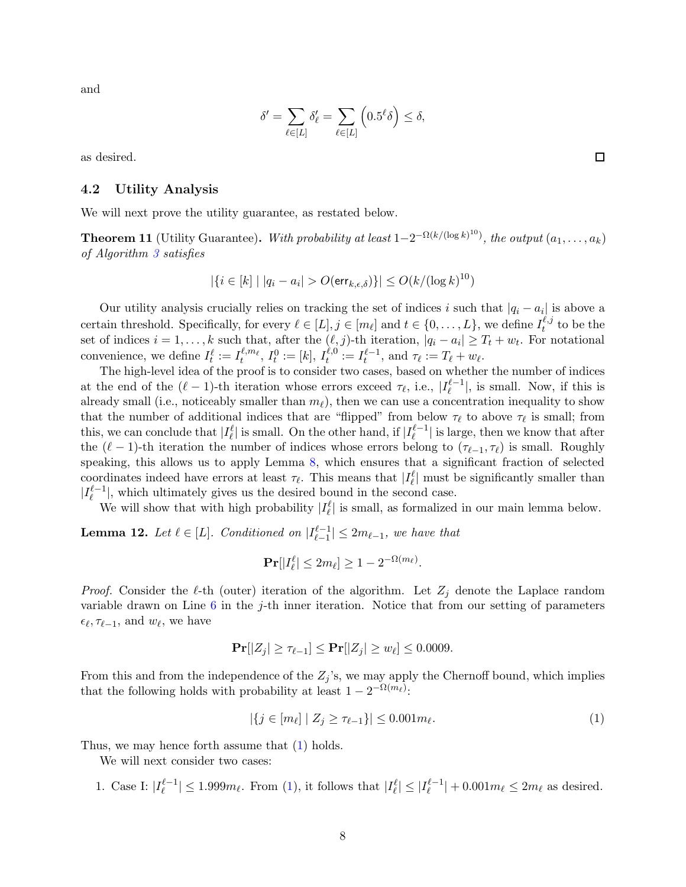and

$$
\delta' = \sum_{\ell \in [L]} \delta'_{\ell} = \sum_{\ell \in [L]} \left( 0.5^{\ell} \delta \right) \le \delta,
$$

as desired.

#### 4.2 Utility Analysis

We will next prove the utility guarantee, as restated below.

<span id="page-7-1"></span>**Theorem 11** (Utility Guarantee). With probability at least  $1-2^{-\Omega(k/(\log k)^{10})}$ , the output  $(a_1, \ldots, a_k)$ of Algorithm [3](#page-6-0) satisfies

$$
|\{i \in [k] \mid |q_i - a_i| > O(\text{err}_{k,\epsilon,\delta})\}| \le O(k/(\log k)^{10})
$$

Our utility analysis crucially relies on tracking the set of indices i such that  $|q_i - a_i|$  is above a certain threshold. Specifically, for every  $\ell \in [L], j \in [m_{\ell}]$  and  $t \in \{0, \ldots, L\}$ , we define  $I_t^{\ell, j}$  $t^{i,j}$  to be the set of indices  $i = 1, \ldots, k$  such that, after the  $(\ell, j)$ -th iteration,  $|q_i - a_i| \ge T_t + w_t$ . For notational convenience, we define  $I_t^{\ell} := I_t^{\ell,m_{\ell}}, I_t^0 := [k], I_t^{\ell,0}$  $t^{\ell,0}_t := I^{\ell-1}_t$ , and  $\tau_\ell := T_\ell + w_\ell$ .

The high-level idea of the proof is to consider two cases, based on whether the number of indices at the end of the  $(\ell-1)$ -th iteration whose errors exceed  $\tau_{\ell}$ , i.e.,  $|I_{\ell}^{\ell-1}|$ , is small. Now, if this is already small (i.e., noticeably smaller than  $m_{\ell}$ ), then we can use a concentration inequality to show that the number of additional indices that are "flipped" from below  $\tau_{\ell}$  to above  $\tau_{\ell}$  is small; from this, we can conclude that  $|I_{\ell}^{\ell}|$  is small. On the other hand, if  $|I_{\ell}^{\ell-1}|$  is large, then we know that after the  $(\ell-1)$ -th iteration the number of indices whose errors belong to  $(\tau_{\ell-1}, \tau_{\ell})$  is small. Roughly speaking, this allows us to apply Lemma [8,](#page-4-3) which ensures that a significant fraction of selected coordinates indeed have errors at least  $\tau_{\ell}$ . This means that  $|I_{\ell}^{\ell}|$  must be significantly smaller than  $|I_{\ell}^{\ell-1}|$ , which ultimately gives us the desired bound in the second case.

We will show that with high probability  $|I_{\ell}^{\ell}|$  is small, as formalized in our main lemma below.

<span id="page-7-2"></span>**Lemma 12.** Let  $\ell \in [L]$ . Conditioned on  $|I_{\ell-1}^{\ell-1}|$  $|l-1| \leq 2m_{l-1}$ , we have that

$$
\mathbf{Pr}[|I_{\ell}^{\ell}| \leq 2m_{\ell}] \geq 1 - 2^{-\Omega(m_{\ell})}.
$$

*Proof.* Consider the  $\ell$ -th (outer) iteration of the algorithm. Let  $Z_j$  denote the Laplace random variable drawn on Line  $6$  in the j-th inner iteration. Notice that from our setting of parameters  $\epsilon_{\ell}, \tau_{\ell-1}$ , and  $w_{\ell}$ , we have

$$
\mathbf{Pr}[|Z_j| \geq \tau_{\ell-1}] \leq \mathbf{Pr}[|Z_j| \geq w_{\ell}] \leq 0.0009.
$$

From this and from the independence of the  $Z_j$ 's, we may apply the Chernoff bound, which implies that the following holds with probability at least  $1 - 2^{-\Omega(m_{\ell})}$ :

<span id="page-7-0"></span>
$$
|\{j \in [m_{\ell}] \mid Z_j \ge \tau_{\ell-1}\}| \le 0.001 m_{\ell}.\tag{1}
$$

Thus, we may hence forth assume that  $(1)$  holds.

We will next consider two cases:

1. Case I:  $|I_{\ell}^{\ell-1}| \leq 1.999m_{\ell}$ . From [\(1\)](#page-7-0), it follows that  $|I_{\ell}^{\ell}| \leq |I_{\ell}^{\ell-1}| + 0.001m_{\ell} \leq 2m_{\ell}$  as desired.

 $\Box$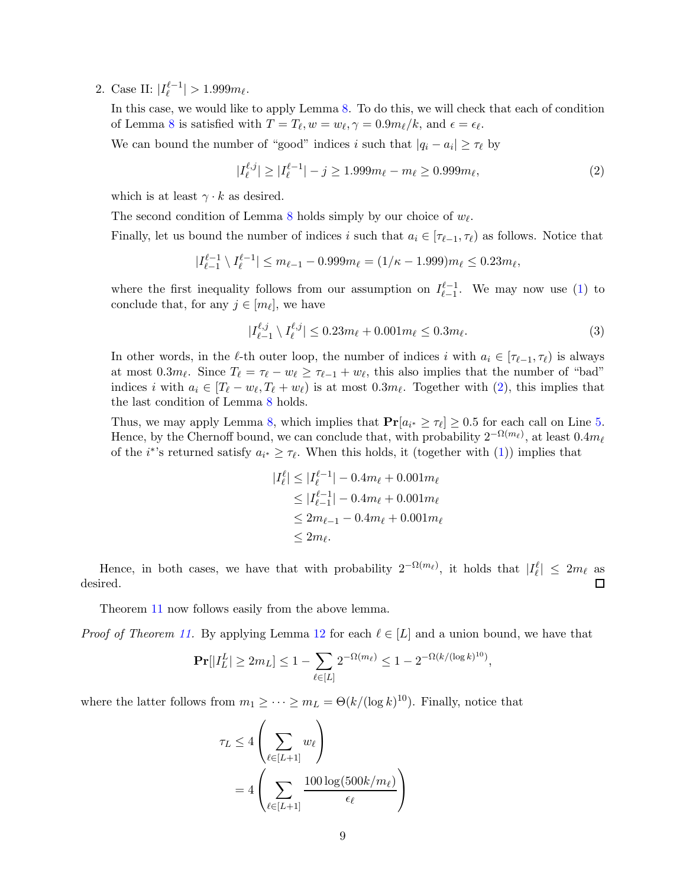2. Case II:  $|I_{\ell}^{\ell-1}| > 1.999 m_{\ell}$ .

In this case, we would like to apply Lemma [8.](#page-4-3) To do this, we will check that each of condition of Lemma [8](#page-4-3) is satisfied with  $T = T_{\ell}, w = w_{\ell}, \gamma = 0.9 m_{\ell}/k$ , and  $\epsilon = \epsilon_{\ell}$ .

We can bound the number of "good" indices i such that  $|q_i - a_i| \geq \tau_\ell$  by

<span id="page-8-0"></span>
$$
|I_{\ell}^{\ell,j}| \ge |I_{\ell}^{\ell-1}| - j \ge 1.999m_{\ell} - m_{\ell} \ge 0.999m_{\ell},\tag{2}
$$

which is at least  $\gamma \cdot k$  as desired.

The second condition of Lemma [8](#page-4-3) holds simply by our choice of  $w_{\ell}$ .

Finally, let us bound the number of indices i such that  $a_i \in [\tau_{\ell-1}, \tau_{\ell})$  as follows. Notice that

$$
|I_{\ell-1}^{\ell-1} \setminus I_{\ell}^{\ell-1}| \le m_{\ell-1} - 0.999m_{\ell} = (1/\kappa - 1.999)m_{\ell} \le 0.23m_{\ell},
$$

where the first inequality follows from our assumption on  $I_{\ell-1}^{\ell-1}$  $\ell_{-1}^{~\ell-1}$ . We may now use [\(1\)](#page-7-0) to conclude that, for any  $j \in [m_\ell]$ , we have

$$
|I_{\ell-1}^{\ell,j} \setminus I_{\ell}^{\ell,j}| \le 0.23m_{\ell} + 0.001m_{\ell} \le 0.3m_{\ell}.
$$
 (3)

In other words, in the  $\ell$ -th outer loop, the number of indices i with  $a_i \in [\tau_{\ell-1}, \tau_{\ell})$  is always at most  $0.3m_{\ell}$ . Since  $T_{\ell} = \tau_{\ell} - w_{\ell} \geq \tau_{\ell-1} + w_{\ell}$ , this also implies that the number of "bad" indices i with  $a_i \in [T_\ell - w_\ell, T_\ell + w_\ell)$  is at most  $0.3m_\ell$ . Together with  $(2)$ , this implies that the last condition of Lemma [8](#page-4-3) holds.

Thus, we may apply Lemma [8,](#page-4-3) which implies that  $Pr[a_{i^*} \geq \tau_\ell] \geq 0.5$  for each call on Line [5.](#page-5-1) Hence, by the Chernoff bound, we can conclude that, with probability  $2^{-\Omega(m_\ell)}$ , at least  $0.4m_\ell$ of the *i*<sup>\*</sup>'s returned satisfy  $a_{i^*} \geq \tau_{\ell}$ . When this holds, it (together with [\(1\)](#page-7-0)) implies that

$$
|I_{\ell}^{\ell}| \le |I_{\ell}^{\ell-1}| - 0.4m_{\ell} + 0.001m_{\ell}
$$
  
\n
$$
\le |I_{\ell-1}^{\ell-1}| - 0.4m_{\ell} + 0.001m_{\ell}
$$
  
\n
$$
\le 2m_{\ell-1} - 0.4m_{\ell} + 0.001m_{\ell}
$$
  
\n
$$
\le 2m_{\ell}.
$$

Hence, in both cases, we have that with probability  $2^{-\Omega(m_\ell)}$ , it holds that  $|I_\ell^{\ell}| \leq 2m_\ell$  as desired.

Theorem [11](#page-7-1) now follows easily from the above lemma.

*Proof of Theorem [11.](#page-7-1)* By applying Lemma [12](#page-7-2) for each  $\ell \in [L]$  and a union bound, we have that

$$
\mathbf{Pr}[|I_L^L| \ge 2m_L] \le 1 - \sum_{\ell \in [L]} 2^{-\Omega(m_\ell)} \le 1 - 2^{-\Omega(k/(\log k)^{10})},
$$

where the latter follows from  $m_1 \geq \cdots \geq m_L = \Theta(k/(\log k)^{10})$ . Finally, notice that

$$
\tau_L \le 4 \left( \sum_{\ell \in [L+1]} w_{\ell} \right)
$$
  
= 4 \left( \sum\_{\ell \in [L+1]} \frac{100 \log(500k/m\_{\ell})}{\epsilon\_{\ell}} \right)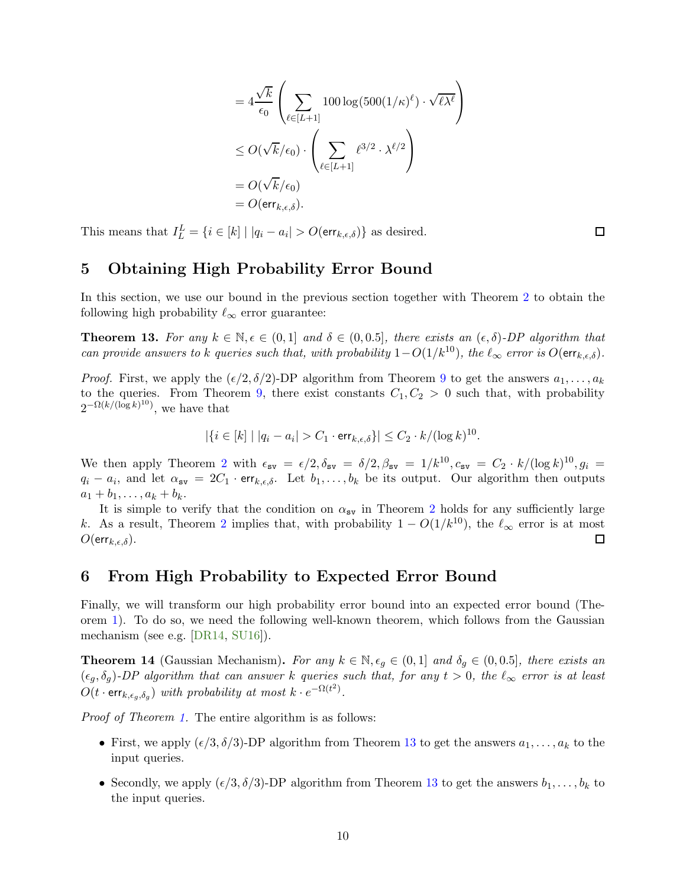$$
=4\frac{\sqrt{k}}{\epsilon_0} \left( \sum_{\ell \in [L+1]} 100 \log(500(1/\kappa)^{\ell}) \cdot \sqrt{\ell \lambda^{\ell}} \right)
$$
  

$$
\leq O(\sqrt{k}/\epsilon_0) \cdot \left( \sum_{\ell \in [L+1]} \ell^{3/2} \cdot \lambda^{\ell/2} \right)
$$
  

$$
= O(\sqrt{k}/\epsilon_0)
$$
  

$$
= O(\text{err}_{k,\epsilon,\delta}).
$$

This means that  $I_L^L = \{i \in [k] \mid |q_i - a_i| > O(\text{err}_{k,\epsilon,\delta})\}$  as desired.

## <span id="page-9-1"></span>5 Obtaining High Probability Error Bound

In this section, we use our bound in the previous section together with Theorem [2](#page-2-0) to obtain the following high probability  $\ell_{\infty}$  error guarantee:

<span id="page-9-0"></span>**Theorem 13.** For any  $k \in \mathbb{N}, \epsilon \in (0,1]$  and  $\delta \in (0,0.5]$ , there exists an  $(\epsilon, \delta)$ -DP algorithm that can provide answers to k queries such that, with probability  $1-O(1/k^{10})$ , the  $\ell_{\infty}$  error is  $O(\text{err}_{k,\epsilon,\delta})$ .

*Proof.* First, we apply the  $(\epsilon/2, \delta/2)$ -DP algorithm from Theorem [9](#page-5-1) to get the answers  $a_1, \ldots, a_k$ to the queries. From Theorem [9,](#page-5-1) there exist constants  $C_1, C_2 > 0$  such that, with probability  $2^{-\Omega(k/(\log k)^{10})}$ , we have that

$$
|\{i \in [k] \mid |q_i - a_i| > C_1 \cdot \text{err}_{k,\epsilon,\delta}\}| \leq C_2 \cdot k / (\log k)^{10}.
$$

We then apply Theorem [2](#page-2-0) with  $\epsilon_{sv} = \epsilon/2, \delta_{sv} = \delta/2, \beta_{sv} = 1/k^{10}, c_{sv} = C_2 \cdot k/(\log k)^{10}, g_i =$  $q_i - a_i$ , and let  $\alpha_{\text{sv}} = 2C_1 \cdot \text{err}_{k,\epsilon,\delta}$ . Let  $b_1, \ldots, b_k$  be its output. Our algorithm then outputs  $a_1 + b_1, \ldots, a_k + b_k.$ 

It is simple to verify that the condition on  $\alpha_{\rm sv}$  in Theorem [2](#page-2-0) holds for any sufficiently large k. As a result, Theorem [2](#page-2-0) implies that, with probability  $1 - O(1/k^{10})$ , the  $\ell_{\infty}$  error is at most  $O(\text{err}_{k \epsilon \delta})$ .  $O(\textsf{err}_{k,\epsilon,\delta}).$ 

## <span id="page-9-2"></span>6 From High Probability to Expected Error Bound

Finally, we will transform our high probability error bound into an expected error bound (Theorem [1\)](#page-1-2). To do so, we need the following well-known theorem, which follows from the Gaussian mechanism (see e.g. [\[DR14,](#page-11-6) [SU16\]](#page-11-0)).

<span id="page-9-3"></span>**Theorem 14** (Gaussian Mechanism). For any  $k \in \mathbb{N}$ ,  $\epsilon_q \in (0,1]$  and  $\delta_q \in (0,0.5]$ , there exists an  $(\epsilon_g, \delta_g)$ -DP algorithm that can answer k queries such that, for any  $t > 0$ , the  $\ell_{\infty}$  error is at least  $O(t \cdot \textsf{err}_{k, \epsilon_g, \delta_g})$  with probability at most  $k \cdot e^{-\Omega(t^2)}$ .

Proof of Theorem [1.](#page-1-2) The entire algorithm is as follows:

- First, we apply  $(\epsilon/3, \delta/3)$ -DP algorithm from Theorem [13](#page-9-0) to get the answers  $a_1, \ldots, a_k$  to the input queries.
- Secondly, we apply  $(\epsilon/3, \delta/3)$ -DP algorithm from Theorem [13](#page-9-0) to get the answers  $b_1, \ldots, b_k$  to the input queries.

 $\Box$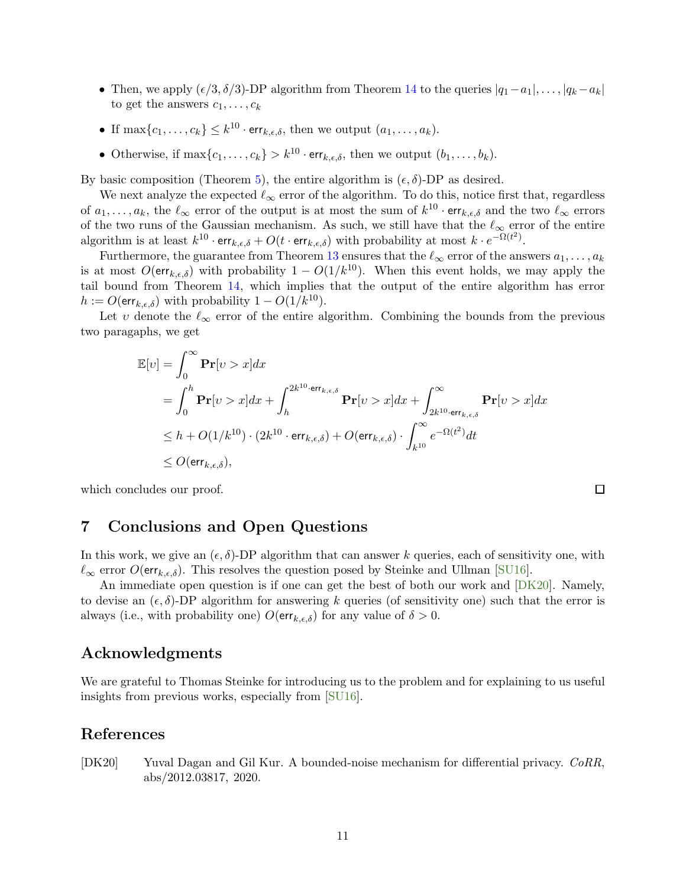- Then, we apply  $(\epsilon/3, \delta/3)$ -DP algorithm from Theorem [14](#page-9-3) to the queries  $|q_1-a_1|, \ldots, |q_k-a_k|$ to get the answers  $c_1, \ldots, c_k$
- If  $\max\{c_1, \ldots, c_k\} \leq k^{10} \cdot \text{err}_{k,\epsilon,\delta}$ , then we output  $(a_1, \ldots, a_k)$ .
- Otherwise, if  $\max\{c_1, \ldots, c_k\} > k^{10} \cdot \text{err}_{k,\epsilon,\delta}$ , then we output  $(b_1, \ldots, b_k)$ .

By basic composition (Theorem [5\)](#page-3-2), the entire algorithm is  $(\epsilon, \delta)$ -DP as desired.

We next analyze the expected  $\ell_{\infty}$  error of the algorithm. To do this, notice first that, regardless of  $a_1, \ldots, a_k$ , the  $\ell_{\infty}$  error of the output is at most the sum of  $k^{10} \cdot \text{err}_{k,\epsilon,\delta}$  and the two  $\ell_{\infty}$  errors of the two runs of the Gaussian mechanism. As such, we still have that the  $\ell_{\infty}$  error of the entire algorithm is at least  $k^{10} \cdot \text{err}_{k,\epsilon,\delta} + O(t \cdot \text{err}_{k,\epsilon,\delta})$  with probability at most  $k \cdot e^{-\Omega(t^2)}$ .

Furthermore, the guarantee from Theorem [13](#page-9-0) ensures that the  $\ell_{\infty}$  error of the answers  $a_1, \ldots, a_k$ is at most  $O(\text{err}_{k,\epsilon,\delta})$  with probability  $1 - O(1/k^{10})$ . When this event holds, we may apply the tail bound from Theorem [14,](#page-9-3) which implies that the output of the entire algorithm has error  $h := O(\text{err}_{k,\epsilon,\delta})$  with probability  $1 - O(1/k^{10})$ .

Let v denote the  $\ell_{\infty}$  error of the entire algorithm. Combining the bounds from the previous two paragaphs, we get

$$
\mathbb{E}[v] = \int_0^\infty \mathbf{Pr}[v > x] dx
$$
  
=  $\int_0^h \mathbf{Pr}[v > x] dx + \int_h^{2k^{10} \cdot \mathbf{err}_{k,\epsilon,\delta}} \mathbf{Pr}[v > x] dx + \int_{2k^{10} \cdot \mathbf{err}_{k,\epsilon,\delta}}^\infty \mathbf{Pr}[v > x] dx$   
 $\leq h + O(1/k^{10}) \cdot (2k^{10} \cdot \mathbf{err}_{k,\epsilon,\delta}) + O(\mathbf{err}_{k,\epsilon,\delta}) \cdot \int_{k^{10}}^\infty e^{-\Omega(t^2)} dt$   
 $\leq O(\mathbf{err}_{k,\epsilon,\delta}),$ 

which concludes our proof.

## <span id="page-10-1"></span>7 Conclusions and Open Questions

In this work, we give an  $(\epsilon, \delta)$ -DP algorithm that can answer k queries, each of sensitivity one, with  $\ell_{\infty}$  error  $O(\text{err}_{k,\epsilon,\delta})$ . This resolves the question posed by Steinke and Ullman [\[SU16\]](#page-11-0).

An immediate open question is if one can get the best of both our work and [\[DK20\]](#page-10-0). Namely, to devise an  $(\epsilon, \delta)$ -DP algorithm for answering k queries (of sensitivity one) such that the error is always (i.e., with probability one)  $O(\text{err}_{k,\epsilon,\delta})$  for any value of  $\delta > 0$ .

## Acknowledgments

We are grateful to Thomas Steinke for introducing us to the problem and for explaining to us useful insights from previous works, especially from [\[SU16\]](#page-11-0).

## References

<span id="page-10-0"></span>[DK20] Yuval Dagan and Gil Kur. A bounded-noise mechanism for differential privacy. CoRR, abs/2012.03817, 2020.

 $\Box$